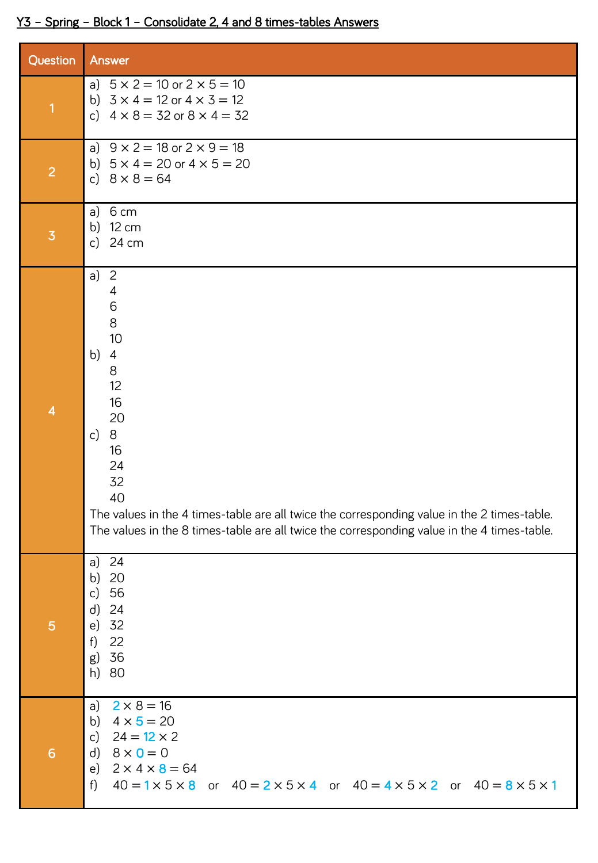## Y3 – Spring – Block 1 – Consolidate 2, 4 and 8 times-tables Answers

| Question                 | Answer                                                                                                                                                                                                                                                                                                                   |
|--------------------------|--------------------------------------------------------------------------------------------------------------------------------------------------------------------------------------------------------------------------------------------------------------------------------------------------------------------------|
| $\overline{\mathbf{1}}$  | a) $5 \times 2 = 10$ or $2 \times 5 = 10$<br>b) $3 \times 4 = 12$ or $4 \times 3 = 12$<br>c) $4 \times 8 = 32$ or $8 \times 4 = 32$                                                                                                                                                                                      |
| $\overline{2}$           | a) $9 \times 2 = 18$ or $2 \times 9 = 18$<br>b) $5 \times 4 = 20$ or $4 \times 5 = 20$<br>c) $8 \times 8 = 64$                                                                                                                                                                                                           |
| $\overline{3}$           | a) $6 \text{ cm}$<br>b) 12 cm<br>24 cm<br>$\mathsf{c}$                                                                                                                                                                                                                                                                   |
| $\overline{\mathcal{A}}$ | a) $2$<br>$\overline{4}$<br>6<br>8<br>10<br>b)<br>$\overline{4}$<br>8<br>12<br>16<br>20<br>8<br>c)<br>16<br>24<br>32<br>40<br>The values in the 4 times-table are all twice the corresponding value in the 2 times-table.<br>The values in the 8 times-table are all twice the corresponding value in the 4 times-table. |
| 5                        | a) 24<br>b) 20<br>c) 56<br>$d)$ 24<br>e) 32<br>22<br>f<br>g) 36<br>h) 80                                                                                                                                                                                                                                                 |
| 6                        | a) $2 \times 8 = 16$<br>b) $4 \times 5 = 20$<br>c) $24 = 12 \times 2$<br>d) $8 \times 0 = 0$<br>e) $2 \times 4 \times 8 = 64$<br>f) $40 = 1 \times 5 \times 8$ or $40 = 2 \times 5 \times 4$ or $40 = 4 \times 5 \times 2$ or $40 = 8 \times 5 \times 1$                                                                 |